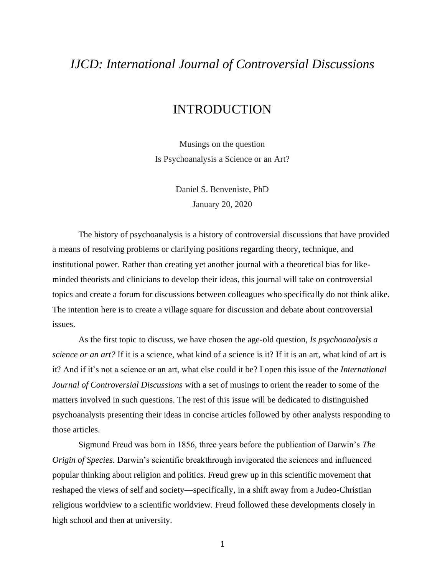## *IJCD: International Journal of Controversial Discussions*

## INTRODUCTION

Musings on the question Is Psychoanalysis a Science or an Art?

> Daniel S. Benveniste, PhD January 20, 2020

The history of psychoanalysis is a history of controversial discussions that have provided a means of resolving problems or clarifying positions regarding theory, technique, and institutional power. Rather than creating yet another journal with a theoretical bias for likeminded theorists and clinicians to develop their ideas, this journal will take on controversial topics and create a forum for discussions between colleagues who specifically do not think alike. The intention here is to create a village square for discussion and debate about controversial issues.

As the first topic to discuss, we have chosen the age-old question, *Is psychoanalysis a science or an art?* If it is a science, what kind of a science is it? If it is an art, what kind of art is it? And if it's not a science or an art, what else could it be? I open this issue of the *International Journal of Controversial Discussions* with a set of musings to orient the reader to some of the matters involved in such questions. The rest of this issue will be dedicated to distinguished psychoanalysts presenting their ideas in concise articles followed by other analysts responding to those articles.

Sigmund Freud was born in 1856, three years before the publication of Darwin's *The Origin of Species.* Darwin's scientific breakthrough invigorated the sciences and influenced popular thinking about religion and politics. Freud grew up in this scientific movement that reshaped the views of self and society—specifically, in a shift away from a Judeo-Christian religious worldview to a scientific worldview. Freud followed these developments closely in high school and then at university.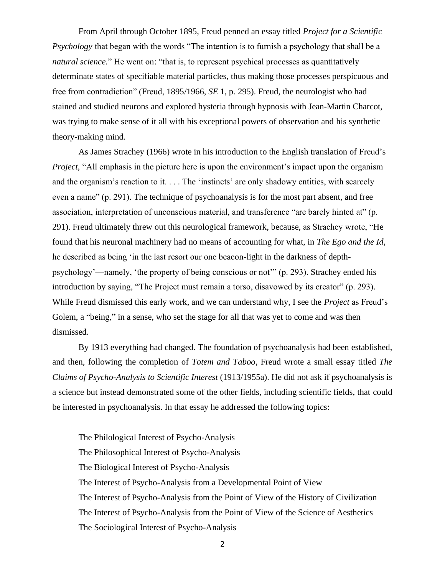From April through October 1895, Freud penned an essay titled *Project for a Scientific Psychology* that began with the words "The intention is to furnish a psychology that shall be a *natural science*." He went on: "that is, to represent psychical processes as quantitatively determinate states of specifiable material particles, thus making those processes perspicuous and free from contradiction" (Freud, 1895/1966, *SE* 1, p. 295). Freud, the neurologist who had stained and studied neurons and explored hysteria through hypnosis with Jean-Martin Charcot, was trying to make sense of it all with his exceptional powers of observation and his synthetic theory-making mind.

As James Strachey (1966) wrote in his introduction to the English translation of Freud's *Project*, "All emphasis in the picture here is upon the environment's impact upon the organism and the organism's reaction to it. . . . The 'instincts' are only shadowy entities, with scarcely even a name" (p. 291). The technique of psychoanalysis is for the most part absent, and free association, interpretation of unconscious material, and transference "are barely hinted at" (p. 291). Freud ultimately threw out this neurological framework, because, as Strachey wrote, "He found that his neuronal machinery had no means of accounting for what, in *The Ego and the Id*, he described as being 'in the last resort our one beacon-light in the darkness of depthpsychology'—namely, 'the property of being conscious or not'" (p. 293). Strachey ended his introduction by saying, "The Project must remain a torso, disavowed by its creator" (p. 293). While Freud dismissed this early work, and we can understand why, I see the *Project* as Freud's Golem, a "being," in a sense, who set the stage for all that was yet to come and was then dismissed.

By 1913 everything had changed. The foundation of psychoanalysis had been established, and then, following the completion of *Totem and Taboo*, Freud wrote a small essay titled *The Claims of Psycho-Analysis to Scientific Interest* (1913/1955a). He did not ask if psychoanalysis is a science but instead demonstrated some of the other fields, including scientific fields, that could be interested in psychoanalysis. In that essay he addressed the following topics:

The Philological Interest of Psycho-Analysis The Philosophical Interest of Psycho-Analysis The Biological Interest of Psycho-Analysis The Interest of Psycho-Analysis from a Developmental Point of View The Interest of Psycho-Analysis from the Point of View of the History of Civilization The Interest of Psycho-Analysis from the Point of View of the Science of Aesthetics The Sociological Interest of Psycho-Analysis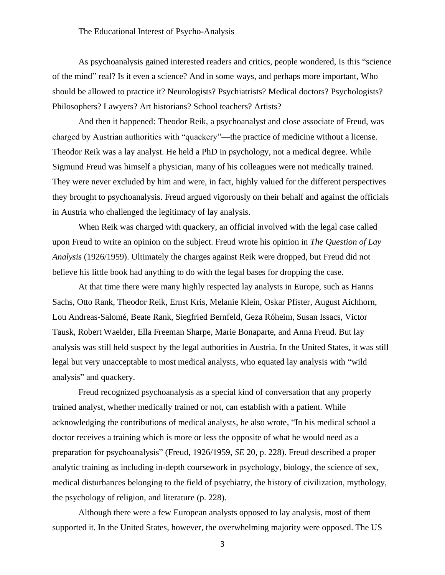## The Educational Interest of Psycho-Analysis

As psychoanalysis gained interested readers and critics, people wondered, Is this "science of the mind" real? Is it even a science? And in some ways, and perhaps more important, Who should be allowed to practice it? Neurologists? Psychiatrists? Medical doctors? Psychologists? Philosophers? Lawyers? Art historians? School teachers? Artists?

And then it happened: Theodor Reik, a psychoanalyst and close associate of Freud, was charged by Austrian authorities with "quackery"—the practice of medicine without a license. Theodor Reik was a lay analyst. He held a PhD in psychology, not a medical degree. While Sigmund Freud was himself a physician, many of his colleagues were not medically trained. They were never excluded by him and were, in fact, highly valued for the different perspectives they brought to psychoanalysis. Freud argued vigorously on their behalf and against the officials in Austria who challenged the legitimacy of lay analysis.

When Reik was charged with quackery, an official involved with the legal case called upon Freud to write an opinion on the subject. Freud wrote his opinion in *The Question of Lay Analysis* (1926/1959). Ultimately the charges against Reik were dropped, but Freud did not believe his little book had anything to do with the legal bases for dropping the case.

At that time there were many highly respected lay analysts in Europe, such as Hanns Sachs, Otto Rank, Theodor Reik, Ernst Kris, Melanie Klein, Oskar Pfister, August Aichhorn, Lou Andreas-Salomé, Beate Rank, Siegfried Bernfeld, Geza Róheim, Susan Issacs, Victor Tausk, Robert Waelder, Ella Freeman Sharpe, Marie Bonaparte, and Anna Freud. But lay analysis was still held suspect by the legal authorities in Austria. In the United States, it was still legal but very unacceptable to most medical analysts, who equated lay analysis with "wild analysis" and quackery.

Freud recognized psychoanalysis as a special kind of conversation that any properly trained analyst, whether medically trained or not, can establish with a patient. While acknowledging the contributions of medical analysts, he also wrote, "In his medical school a doctor receives a training which is more or less the opposite of what he would need as a preparation for psychoanalysis" (Freud, 1926/1959, *SE* 20, p. 228). Freud described a proper analytic training as including in-depth coursework in psychology, biology, the science of sex, medical disturbances belonging to the field of psychiatry, the history of civilization, mythology, the psychology of religion, and literature (p. 228).

Although there were a few European analysts opposed to lay analysis, most of them supported it. In the United States, however, the overwhelming majority were opposed. The US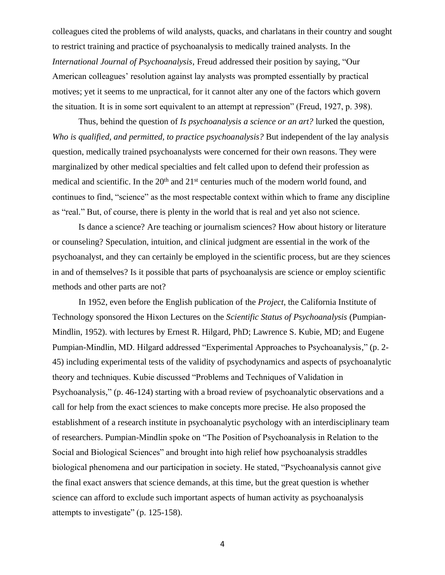colleagues cited the problems of wild analysts, quacks, and charlatans in their country and sought to restrict training and practice of psychoanalysis to medically trained analysts. In the *International Journal of Psychoanalysis*, Freud addressed their position by saying, "Our American colleagues' resolution against lay analysts was prompted essentially by practical motives; yet it seems to me unpractical, for it cannot alter any one of the factors which govern the situation. It is in some sort equivalent to an attempt at repression" (Freud, 1927, p. 398).

Thus, behind the question of *Is psychoanalysis a science or an art?* lurked the question, *Who is qualified, and permitted, to practice psychoanalysis?* But independent of the lay analysis question, medically trained psychoanalysts were concerned for their own reasons. They were marginalized by other medical specialties and felt called upon to defend their profession as medical and scientific. In the  $20<sup>th</sup>$  and  $21<sup>st</sup>$  centuries much of the modern world found, and continues to find, "science" as the most respectable context within which to frame any discipline as "real." But, of course, there is plenty in the world that is real and yet also not science.

Is dance a science? Are teaching or journalism sciences? How about history or literature or counseling? Speculation, intuition, and clinical judgment are essential in the work of the psychoanalyst, and they can certainly be employed in the scientific process, but are they sciences in and of themselves? Is it possible that parts of psychoanalysis are science or employ scientific methods and other parts are not?

In 1952, even before the English publication of the *Project*, the California Institute of Technology sponsored the Hixon Lectures on the *Scientific Status of Psychoanalysis* (Pumpian-Mindlin, 1952). with lectures by Ernest R. Hilgard, PhD; Lawrence S. Kubie, MD; and Eugene Pumpian-Mindlin, MD. Hilgard addressed "Experimental Approaches to Psychoanalysis," (p. 2- 45) including experimental tests of the validity of psychodynamics and aspects of psychoanalytic theory and techniques. Kubie discussed "Problems and Techniques of Validation in Psychoanalysis," (p. 46-124) starting with a broad review of psychoanalytic observations and a call for help from the exact sciences to make concepts more precise. He also proposed the establishment of a research institute in psychoanalytic psychology with an interdisciplinary team of researchers. Pumpian-Mindlin spoke on "The Position of Psychoanalysis in Relation to the Social and Biological Sciences" and brought into high relief how psychoanalysis straddles biological phenomena and our participation in society. He stated, "Psychoanalysis cannot give the final exact answers that science demands, at this time, but the great question is whether science can afford to exclude such important aspects of human activity as psychoanalysis attempts to investigate" (p. 125-158).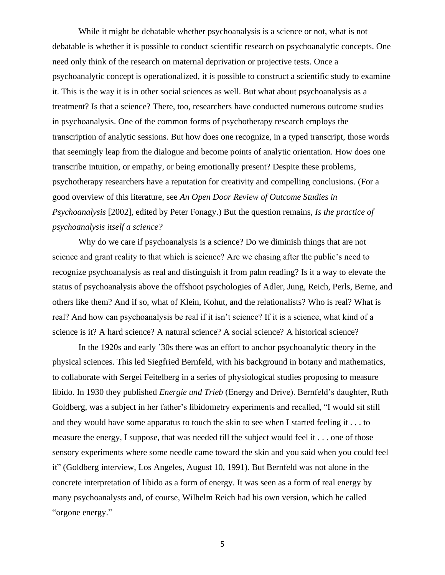While it might be debatable whether psychoanalysis is a science or not, what is not debatable is whether it is possible to conduct scientific research on psychoanalytic concepts. One need only think of the research on maternal deprivation or projective tests. Once a psychoanalytic concept is operationalized, it is possible to construct a scientific study to examine it. This is the way it is in other social sciences as well. But what about psychoanalysis as a treatment? Is that a science? There, too, researchers have conducted numerous outcome studies in psychoanalysis. One of the common forms of psychotherapy research employs the transcription of analytic sessions. But how does one recognize, in a typed transcript, those words that seemingly leap from the dialogue and become points of analytic orientation. How does one transcribe intuition, or empathy, or being emotionally present? Despite these problems, psychotherapy researchers have a reputation for creativity and compelling conclusions. (For a good overview of this literature, see *An Open Door Review of Outcome Studies in Psychoanalysis* [2002], edited by Peter Fonagy.) But the question remains, *Is the practice of psychoanalysis itself a science?*

Why do we care if psychoanalysis is a science? Do we diminish things that are not science and grant reality to that which is science? Are we chasing after the public's need to recognize psychoanalysis as real and distinguish it from palm reading? Is it a way to elevate the status of psychoanalysis above the offshoot psychologies of Adler, Jung, Reich, Perls, Berne, and others like them? And if so, what of Klein, Kohut, and the relationalists? Who is real? What is real? And how can psychoanalysis be real if it isn't science? If it is a science, what kind of a science is it? A hard science? A natural science? A social science? A historical science?

In the 1920s and early '30s there was an effort to anchor psychoanalytic theory in the physical sciences. This led Siegfried Bernfeld, with his background in botany and mathematics, to collaborate with Sergei Feitelberg in a series of physiological studies proposing to measure libido. In 1930 they published *Energie und Trieb* (Energy and Drive). Bernfeld's daughter, Ruth Goldberg, was a subject in her father's libidometry experiments and recalled, "I would sit still and they would have some apparatus to touch the skin to see when I started feeling it . . . to measure the energy, I suppose, that was needed till the subject would feel it . . . one of those sensory experiments where some needle came toward the skin and you said when you could feel it" (Goldberg interview, Los Angeles, August 10, 1991). But Bernfeld was not alone in the concrete interpretation of libido as a form of energy. It was seen as a form of real energy by many psychoanalysts and, of course, Wilhelm Reich had his own version, which he called "orgone energy."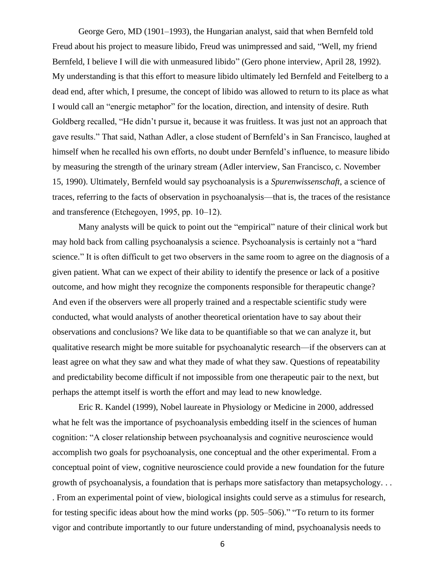George Gero, MD (1901–1993), the Hungarian analyst, said that when Bernfeld told Freud about his project to measure libido, Freud was unimpressed and said, "Well, my friend Bernfeld, I believe I will die with unmeasured libido" (Gero phone interview, April 28, 1992). My understanding is that this effort to measure libido ultimately led Bernfeld and Feitelberg to a dead end, after which, I presume, the concept of libido was allowed to return to its place as what I would call an "energic metaphor" for the location, direction, and intensity of desire. Ruth Goldberg recalled, "He didn't pursue it, because it was fruitless. It was just not an approach that gave results." That said, Nathan Adler, a close student of Bernfeld's in San Francisco, laughed at himself when he recalled his own efforts, no doubt under Bernfeld's influence, to measure libido by measuring the strength of the urinary stream (Adler interview, San Francisco, c. November 15, 1990). Ultimately, Bernfeld would say psychoanalysis is a *Spurenwissenschaft*, a science of traces, referring to the facts of observation in psychoanalysis—that is, the traces of the resistance and transference (Etchegoyen, 1995, pp. 10–12).

Many analysts will be quick to point out the "empirical" nature of their clinical work but may hold back from calling psychoanalysis a science. Psychoanalysis is certainly not a "hard science." It is often difficult to get two observers in the same room to agree on the diagnosis of a given patient. What can we expect of their ability to identify the presence or lack of a positive outcome, and how might they recognize the components responsible for therapeutic change? And even if the observers were all properly trained and a respectable scientific study were conducted, what would analysts of another theoretical orientation have to say about their observations and conclusions? We like data to be quantifiable so that we can analyze it, but qualitative research might be more suitable for psychoanalytic research—if the observers can at least agree on what they saw and what they made of what they saw. Questions of repeatability and predictability become difficult if not impossible from one therapeutic pair to the next, but perhaps the attempt itself is worth the effort and may lead to new knowledge.

Eric R. Kandel (1999), Nobel laureate in Physiology or Medicine in 2000, addressed what he felt was the importance of psychoanalysis embedding itself in the sciences of human cognition: "A closer relationship between psychoanalysis and cognitive neuroscience would accomplish two goals for psychoanalysis, one conceptual and the other experimental. From a conceptual point of view, cognitive neuroscience could provide a new foundation for the future growth of psychoanalysis, a foundation that is perhaps more satisfactory than metapsychology. . . . From an experimental point of view, biological insights could serve as a stimulus for research, for testing specific ideas about how the mind works (pp. 505–506)." "To return to its former vigor and contribute importantly to our future understanding of mind, psychoanalysis needs to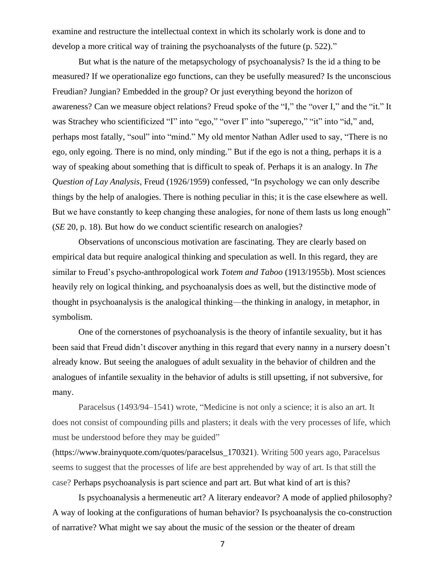examine and restructure the intellectual context in which its scholarly work is done and to develop a more critical way of training the psychoanalysts of the future (p. 522)."

But what is the nature of the metapsychology of psychoanalysis? Is the id a thing to be measured? If we operationalize ego functions, can they be usefully measured? Is the unconscious Freudian? Jungian? Embedded in the group? Or just everything beyond the horizon of awareness? Can we measure object relations? Freud spoke of the "I," the "over I," and the "it." It was Strachey who scientificized "I" into "ego," "over I" into "superego," "it" into "id," and, perhaps most fatally, "soul" into "mind." My old mentor Nathan Adler used to say, "There is no ego, only egoing. There is no mind, only minding." But if the ego is not a thing, perhaps it is a way of speaking about something that is difficult to speak of. Perhaps it is an analogy. In *The Question of Lay Analysis*, Freud (1926/1959) confessed, "In psychology we can only describe things by the help of analogies. There is nothing peculiar in this; it is the case elsewhere as well. But we have constantly to keep changing these analogies, for none of them lasts us long enough" (*SE* 20, p. 18). But how do we conduct scientific research on analogies?

Observations of unconscious motivation are fascinating. They are clearly based on empirical data but require analogical thinking and speculation as well. In this regard, they are similar to Freud's psycho-anthropological work *Totem and Taboo* (1913/1955b). Most sciences heavily rely on logical thinking, and psychoanalysis does as well, but the distinctive mode of thought in psychoanalysis is the analogical thinking—the thinking in analogy, in metaphor, in symbolism.

One of the cornerstones of psychoanalysis is the theory of infantile sexuality, but it has been said that Freud didn't discover anything in this regard that every nanny in a nursery doesn't already know. But seeing the analogues of adult sexuality in the behavior of children and the analogues of infantile sexuality in the behavior of adults is still upsetting, if not subversive, for many.

Paracelsus (1493/94–1541) wrote, "Medicine is not only a science; it is also an art. It does not consist of compounding pills and plasters; it deals with the very processes of life, which must be understood before they may be guided"

(https://www.brainyquote.com/quotes/paracelsus\_170321). Writing 500 years ago, Paracelsus seems to suggest that the processes of life are best apprehended by way of art. Is that still the case? Perhaps psychoanalysis is part science and part art. But what kind of art is this?

Is psychoanalysis a hermeneutic art? A literary endeavor? A mode of applied philosophy? A way of looking at the configurations of human behavior? Is psychoanalysis the co-construction of narrative? What might we say about the music of the session or the theater of dream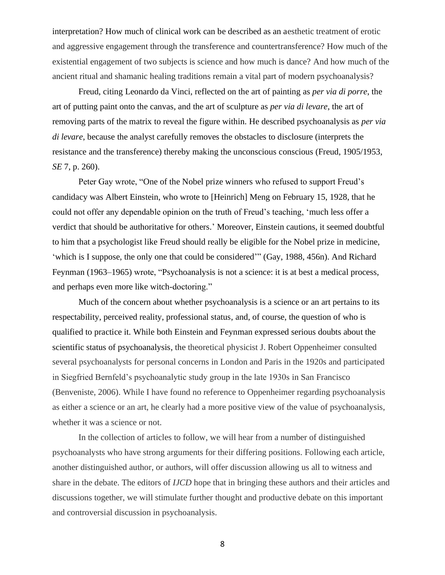interpretation? How much of clinical work can be described as an aesthetic treatment of erotic and aggressive engagement through the transference and countertransference? How much of the existential engagement of two subjects is science and how much is dance? And how much of the ancient ritual and shamanic healing traditions remain a vital part of modern psychoanalysis?

Freud, citing Leonardo da Vinci, reflected on the art of painting as *per via di porre*, the art of putting paint onto the canvas, and the art of sculpture as *per via di levare*, the art of removing parts of the matrix to reveal the figure within. He described psychoanalysis as *per via di levare*, because the analyst carefully removes the obstacles to disclosure (interprets the resistance and the transference) thereby making the unconscious conscious (Freud, 1905/1953, *SE* 7, p. 260).

Peter Gay wrote, "One of the Nobel prize winners who refused to support Freud's candidacy was Albert Einstein, who wrote to [Heinrich] Meng on February 15, 1928, that he could not offer any dependable opinion on the truth of Freud's teaching, 'much less offer a verdict that should be authoritative for others.' Moreover, Einstein cautions, it seemed doubtful to him that a psychologist like Freud should really be eligible for the Nobel prize in medicine, 'which is I suppose, the only one that could be considered'" (Gay, 1988, 456n). And Richard Feynman (1963–1965) wrote, "Psychoanalysis is not a science: it is at best a medical process, and perhaps even more like witch-doctoring."

Much of the concern about whether psychoanalysis is a science or an art pertains to its respectability, perceived reality, professional status, and, of course, the question of who is qualified to practice it. While both Einstein and Feynman expressed serious doubts about the scientific status of psychoanalysis, the theoretical physicist J. Robert Oppenheimer consulted several psychoanalysts for personal concerns in London and Paris in the 1920s and participated in Siegfried Bernfeld's psychoanalytic study group in the late 1930s in San Francisco (Benveniste, 2006). While I have found no reference to Oppenheimer regarding psychoanalysis as either a science or an art, he clearly had a more positive view of the value of psychoanalysis, whether it was a science or not.

In the collection of articles to follow, we will hear from a number of distinguished psychoanalysts who have strong arguments for their differing positions. Following each article, another distinguished author, or authors, will offer discussion allowing us all to witness and share in the debate. The editors of *IJCD* hope that in bringing these authors and their articles and discussions together, we will stimulate further thought and productive debate on this important and controversial discussion in psychoanalysis.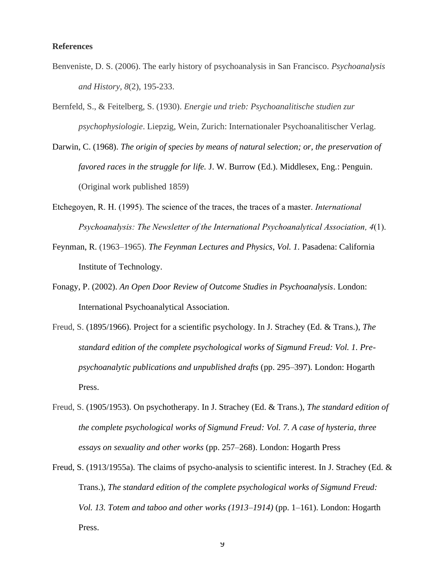## **References**

- Benveniste, D. S. (2006). The early history of psychoanalysis in San Francisco. *Psychoanalysis and History, 8*(2), 195-233.
- Bernfeld, S., & Feitelberg, S. (1930). *Energie und trieb: Psychoanalitische studien zur psychophysiologie*. Liepzig, Wein, Zurich: Internationaler Psychoanalitischer Verlag.
- Darwin, C. (1968). *The origin of species by means of natural selection; or, the preservation of favored races in the struggle for life.* J. W. Burrow (Ed.). Middlesex, Eng.: Penguin. (Original work published 1859)
- Etchegoyen, R. H. (1995). The science of the traces, the traces of a master. *International Psychoanalysis: The Newsletter of the International Psychoanalytical Association, 4*(1).
- Feynman, R. (1963–1965). *The Feynman Lectures and Physics, Vol. 1.* Pasadena: California Institute of Technology.
- Fonagy, P. (2002). *An Open Door Review of Outcome Studies in Psychoanalysis*. London: International Psychoanalytical Association.
- Freud, S. (1895/1966). Project for a scientific psychology. In J. Strachey (Ed. & Trans.), *The standard edition of the complete psychological works of Sigmund Freud: Vol. 1. Prepsychoanalytic publications and unpublished drafts* (pp. 295–397)*.* London: Hogarth Press.
- Freud, S. (1905/1953). On psychotherapy. In J. Strachey (Ed. & Trans.), *The standard edition of the complete psychological works of Sigmund Freud: Vol. 7. A case of hysteria, three essays on sexuality and other works* (pp. 257–268). London: Hogarth Press
- Freud, S. (1913/1955a). The claims of psycho-analysis to scientific interest. In J. Strachey (Ed. & Trans.), *The standard edition of the complete psychological works of Sigmund Freud: Vol. 13. Totem and taboo and other works (1913–1914)* (pp. 1–161). London: Hogarth Press.